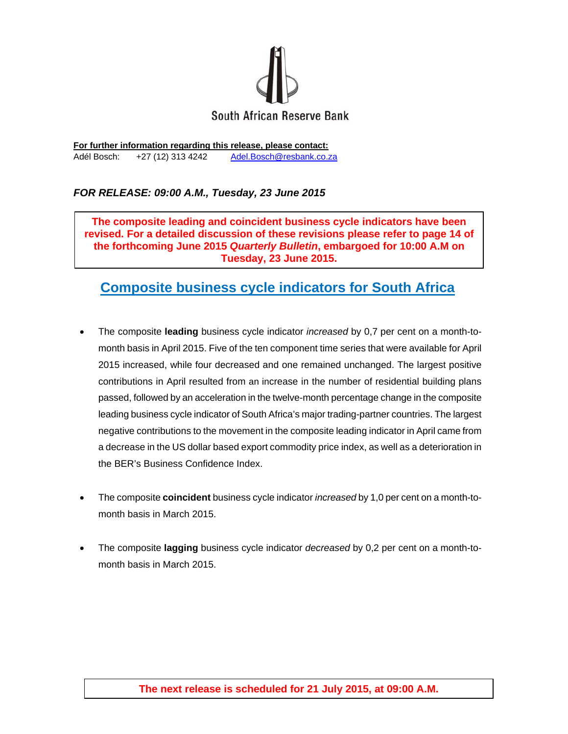

**For further information regarding this release, please contact:**  Adél Bosch: +27 (12) 313 4242 Adel.Bosch@resbank.co.za

## *FOR RELEASE: 09:00 A.M., Tuesday, 23 June 2015*

**The composite leading and coincident business cycle indicators have been revised. For a detailed discussion of these revisions please refer to page 14 of the forthcoming June 2015** *Quarterly Bulletin***, embargoed for 10:00 A.M on Tuesday, 23 June 2015.** 

## **Composite business cycle indicators for South Africa**

- The composite **leading** business cycle indicator *increased* by 0,7 per cent on a month-tomonth basis in April 2015. Five of the ten component time series that were available for April 2015 increased, while four decreased and one remained unchanged. The largest positive contributions in April resulted from an increase in the number of residential building plans passed, followed by an acceleration in the twelve-month percentage change in the composite leading business cycle indicator of South Africa's major trading-partner countries. The largest negative contributions to the movement in the composite leading indicator in April came from a decrease in the US dollar based export commodity price index, as well as a deterioration in the BER's Business Confidence Index.
- The composite **coincident** business cycle indicator *increased* by 1,0 per cent on a month-tomonth basis in March 2015.
- The composite **lagging** business cycle indicator *decreased* by 0,2 per cent on a month-tomonth basis in March 2015.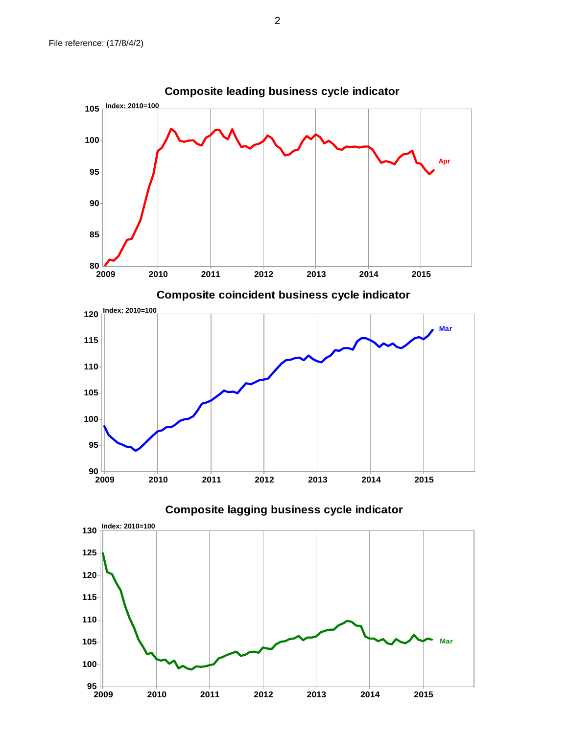